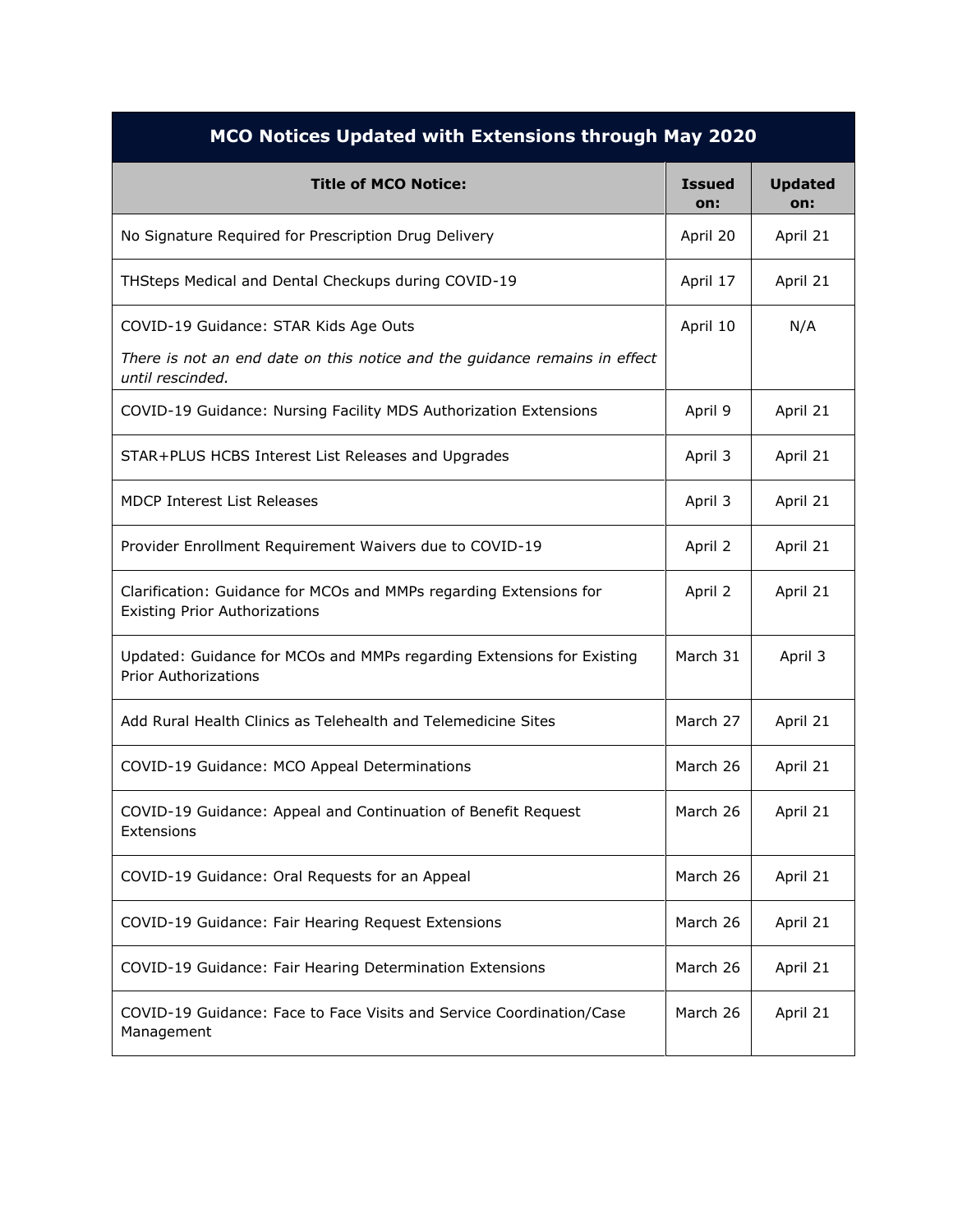| MCO Notices Updated with Extensions through May 2020                                                       |                      |                       |  |
|------------------------------------------------------------------------------------------------------------|----------------------|-----------------------|--|
| <b>Title of MCO Notice:</b>                                                                                | <b>Issued</b><br>on: | <b>Updated</b><br>on: |  |
| No Signature Required for Prescription Drug Delivery                                                       | April 20             | April 21              |  |
| THSteps Medical and Dental Checkups during COVID-19                                                        | April 17             | April 21              |  |
| COVID-19 Guidance: STAR Kids Age Outs                                                                      | April 10             | N/A                   |  |
| There is not an end date on this notice and the guidance remains in effect<br>until rescinded.             |                      |                       |  |
| COVID-19 Guidance: Nursing Facility MDS Authorization Extensions                                           | April 9              | April 21              |  |
| STAR+PLUS HCBS Interest List Releases and Upgrades                                                         | April 3              | April 21              |  |
| <b>MDCP Interest List Releases</b>                                                                         | April 3              | April 21              |  |
| Provider Enrollment Requirement Waivers due to COVID-19                                                    | April 2              | April 21              |  |
| Clarification: Guidance for MCOs and MMPs regarding Extensions for<br><b>Existing Prior Authorizations</b> | April 2              | April 21              |  |
| Updated: Guidance for MCOs and MMPs regarding Extensions for Existing<br><b>Prior Authorizations</b>       | March 31             | April 3               |  |
| Add Rural Health Clinics as Telehealth and Telemedicine Sites                                              | March 27             | April 21              |  |
| COVID-19 Guidance: MCO Appeal Determinations                                                               | March 26             | April 21              |  |
| COVID-19 Guidance: Appeal and Continuation of Benefit Request<br>Extensions                                | March 26             | April 21              |  |
| COVID-19 Guidance: Oral Requests for an Appeal                                                             | March 26             | April 21              |  |
| COVID-19 Guidance: Fair Hearing Request Extensions                                                         | March 26             | April 21              |  |
| COVID-19 Guidance: Fair Hearing Determination Extensions                                                   | March 26             | April 21              |  |
| COVID-19 Guidance: Face to Face Visits and Service Coordination/Case<br>Management                         | March 26             | April 21              |  |